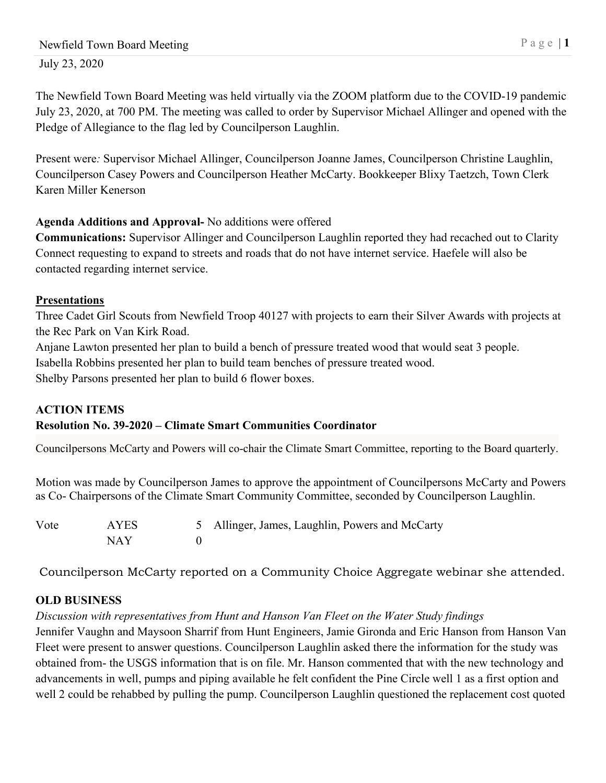July 23, 2020

The Newfield Town Board Meeting was held virtually via the ZOOM platform due to the COVID-19 pandemic July 23, 2020, at 700 PM. The meeting was called to order by Supervisor Michael Allinger and opened with the Pledge of Allegiance to the flag led by Councilperson Laughlin.

Present were*:* Supervisor Michael Allinger, Councilperson Joanne James, Councilperson Christine Laughlin, Councilperson Casey Powers and Councilperson Heather McCarty. Bookkeeper Blixy Taetzch, Town Clerk Karen Miller Kenerson

## **Agenda Additions and Approval-** No additions were offered

**Communications:** Supervisor Allinger and Councilperson Laughlin reported they had recached out to Clarity Connect requesting to expand to streets and roads that do not have internet service. Haefele will also be contacted regarding internet service.

## **Presentations**

Three Cadet Girl Scouts from Newfield Troop 40127 with projects to earn their Silver Awards with projects at the Rec Park on Van Kirk Road.

Anjane Lawton presented her plan to build a bench of pressure treated wood that would seat 3 people.

Isabella Robbins presented her plan to build team benches of pressure treated wood.

Shelby Parsons presented her plan to build 6 flower boxes.

#### **ACTION ITEMS Resolution No. 39-2020 – Climate Smart Communities Coordinator**

Councilpersons McCarty and Powers will co-chair the Climate Smart Committee, reporting to the Board quarterly.

Motion was made by Councilperson James to approve the appointment of Councilpersons McCarty and Powers as Co- Chairpersons of the Climate Smart Community Committee, seconded by Councilperson Laughlin.

| Vote | AYES | 5 Allinger, James, Laughlin, Powers and McCarty |
|------|------|-------------------------------------------------|
|      | NAY  |                                                 |

Councilperson McCarty reported on a Community Choice Aggregate webinar she attended.

# **OLD BUSINESS**

*Discussion with representatives from Hunt and Hanson Van Fleet on the Water Study findings*

Jennifer Vaughn and Maysoon Sharrif from Hunt Engineers, Jamie Gironda and Eric Hanson from Hanson Van Fleet were present to answer questions. Councilperson Laughlin asked there the information for the study was obtained from- the USGS information that is on file. Mr. Hanson commented that with the new technology and advancements in well, pumps and piping available he felt confident the Pine Circle well 1 as a first option and well 2 could be rehabbed by pulling the pump. Councilperson Laughlin questioned the replacement cost quoted